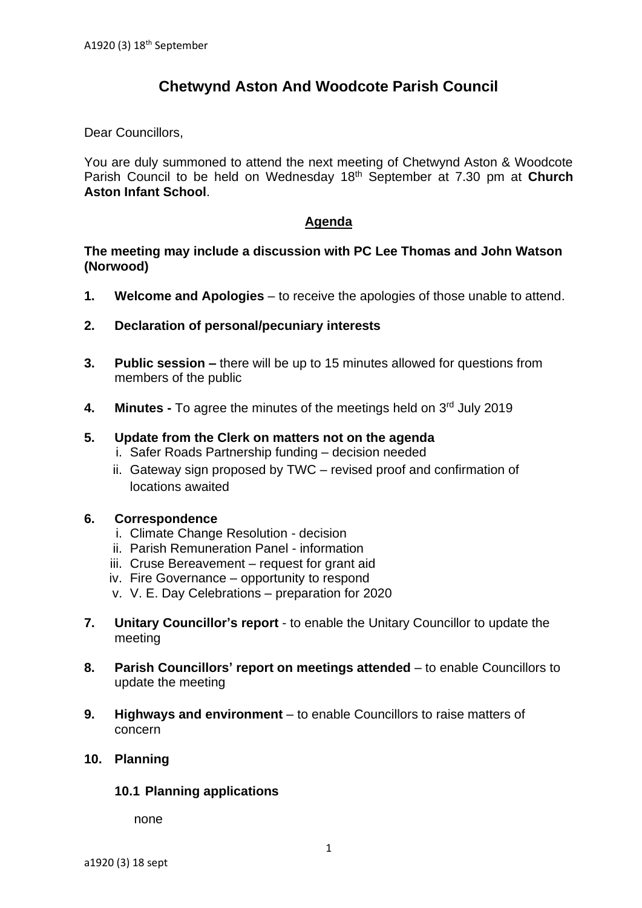# **Chetwynd Aston And Woodcote Parish Council**

Dear Councillors,

You are duly summoned to attend the next meeting of Chetwynd Aston & Woodcote Parish Council to be held on Wednesday 18th September at 7.30 pm at **Church Aston Infant School**.

#### **Agenda**

#### **The meeting may include a discussion with PC Lee Thomas and John Watson (Norwood)**

- **1. Welcome and Apologies** to receive the apologies of those unable to attend.
- **2. Declaration of personal/pecuniary interests**
- **3. Public session –** there will be up to 15 minutes allowed for questions from members of the public
- 4. Minutes To agree the minutes of the meetings held on 3<sup>rd</sup> July 2019

#### **5. Update from the Clerk on matters not on the agenda**

- i. Safer Roads Partnership funding decision needed
- ii. Gateway sign proposed by TWC revised proof and confirmation of locations awaited

#### **6. Correspondence**

- i. Climate Change Resolution decision
- ii. Parish Remuneration Panel information
- iii. Cruse Bereavement request for grant aid
- iv. Fire Governance opportunity to respond
- v. V. E. Day Celebrations preparation for 2020
- **7. Unitary Councillor's report** to enable the Unitary Councillor to update the meeting
- **8. Parish Councillors' report on meetings attended** to enable Councillors to update the meeting
- **9. Highways and environment** to enable Councillors to raise matters of concern

## **10. Planning**

#### **10.1 Planning applications**

none